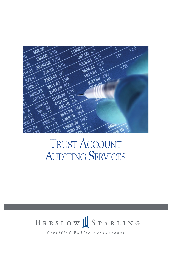

### TRUST ACCOUNT AUDITING SERVICES

# BRESLOW STARLING

Certified Public Accountants